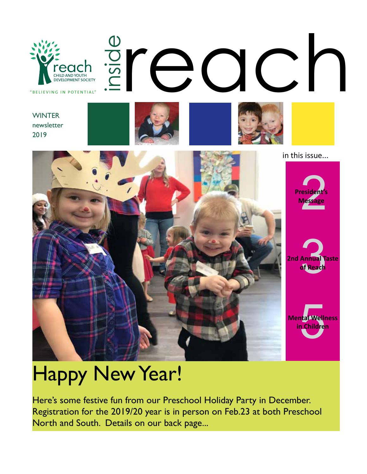

#### **WINTER** newsletter 2019





**President** 

in this issue...

**2nd Annual Taste of Reach** 

esident's<br>Message

**Message**

tal Welli<br>1 Children **Mental Wellness in Children** 

# Happy New Year!

Here's some festive fun from our Preschool Holiday Party in December. Registration for the 2019/20 year is in person on Feb.23 at both Preschool North and South. Details on our back page...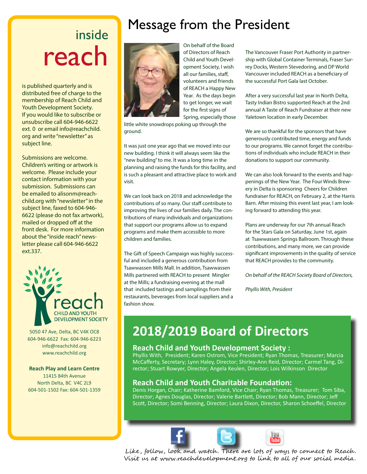## inside reach

is published quarterly and is distributed free of charge to the membership of Reach Child and Youth Development Society. If you would like to subscribe or unsubscribe call 604-946-6622 ext. 0 or email info@reachchild. org and write "newsletter" as subject line.

Submissions are welcome. Children's writing or artwork is welcome. Please include your contact information with your submission. Submissions can be emailed to alisonm@reachchild.org with "newsletter" in the subject line, faxed to 604-946- 6622 (please do not fax artwork), mailed or dropped off at the front desk. For more information about the "inside reach" newsletter please call 604-946-6622 ext.337.



5050 47 Ave, Delta, BC V4K OC8 604-946-6622 Fax: 604-946-6223 info@reachchild.org www.reachchild.org

#### **Reach Play and Learn Centre**

11415 84th Avenue North Delta, BC V4C 2L9 604-501-1502 Fax: 604-501-1359

## Message from the President



On behalf of the Board of Directors of Reach Child and Youth Development Society, I wish all our families, staff, volunteers and friends of REACH a Happy New Year. As the days begin to get longer, we wait for the first signs of Spring, especially those

little white snowdrops poking up through the ground.

It was just one year ago that we moved into our new building. I think it will always seem like the "new building" to me. It was a long time in the planning and raising the funds for this facility, and is such a pleasant and attractive place to work and visit.

We can look back on 2018 and acknowledge the contributions of so many. Our staff contribute to improving the lives of our families daily. The contributions of many individuals and organizations that support our programs allow us to expand programs and make them accessible to more children and families.

The Gift of Speech Campaign was highly successful and included a generous contribution from Tsawwassen Mills Mall. In addition, Tsawwassen Mills partnered with REACH to present Mingler at the Mills; a fundraising evening at the mall that included tastings and samplings from their restaurants, beverages from local suppliers and a fashion show.

The Vancouver Fraser Port Authority in partnership with Global Container Terminals, Fraser Surrey Docks, Western Stevedoring, and DP World Vancouver included REACH as a beneficiary of the successful Port Gala last October.

After a very successful last year in North Delta, Tasty Indian Bistro supported Reach at the 2nd annual A Taste of Reach Fundraiser at their new Yaletown location in early December.

We are so thankful for the sponsors that have generously contributed time, energy and funds to our programs. We cannot forget the contributions of individuals who include REACH in their donations to support our community.

We can also look forward to the events and happenings of the New Year. The Four Winds Brewery in Delta is sponsoring Cheers for Children fundraiser for REACH, on February 2, at the Harris Barn. After missing this event last year, I am looking forward to attending this year.

Plans are underway for our 7th annual Reach for the Stars Gala on Saturday, June 1st, again at Tsawwassen Springs Ballroom. Through these contributions, and many more, we can provide significant improvements in the quality of service that REACH provides to the community.

*On behalf of the REACH Society Board of Directors,*

*Phyllis With, President*

## **2018/2019 Board of Directors**

#### **Reach Child and Youth Development Society :**

Phyllis With, President; Karen Ostrom, Vice President; Ryan Thomas, Treasurer; Marcia McCafferty, Secretary; Lynn Haley, Director; Shirley-Ann Reid, Director; Carmel Tang, Director; Stuart Bowyer, Director; Angela Keulen, Director; Lois Wilkinson Director

#### **Reach Child and Youth Charitable Foundation:**

Denis Horgan, Chair; Katherine Bamford, Vice Chair; Ryan Thomas, Treasurer; Tom Siba, Director; Agnes Douglas, Director; Valerie Bartlett, Director; Bob Mann, Director; Jeff Scott, Director; Somi Benning, Director; Laura Dixon, Director, Sharon Schoeffel, Director





Like, follow, look and watch. There are lots of ways to connect to Reach. Visit us at www.reachdevelopment.org to link to all of our social media.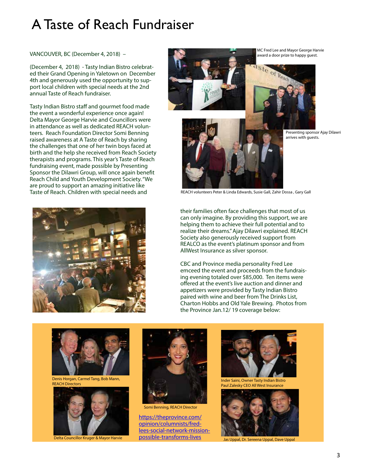#### A Taste of Reach Fundraiser

VANCOUVER, BC (December 4, 2018) –

(December 4, 2018) - Tasty Indian Bistro celebrated their Grand Opening in Yaletown on December 4th and generously used the opportunity to support local children with special needs at the 2nd annual Taste of Reach fundraiser.

Tasty Indian Bistro staff and gourmet food made the event a wonderful experience once again! Delta Mayor George Harvie and Councillors were in attendance as well as dedicated REACH volunteers. Reach Foundation Director Somi Benning raised awareness at A Taste of Reach by sharing the challenges that one of her twin boys faced at birth and the help she received from Reach Society therapists and programs. This year's Taste of Reach fundraising event, made possible by Presenting Sponsor the Dilawri Group, will once again benefit Reach Child and Youth Development Society. "We are proud to support an amazing initiative like Taste of Reach. Children with special needs and



MC Fred Lee and Mayor George Harvie award a door prize to happy guest.





REACH volunteers Peter & Linda Edwards, Susie Gall, Zahir Dossa , Gary Gall

their families often face challenges that most of us can only imagine. By providing this support, we are helping them to achieve their full potential and to realize their dreams." Ajay Dilawri explained. REACH Society also generously received support from REALCO as the event's platinum sponsor and from AllWest Insurance as silver sponsor.

CBC and Province media personality Fred Lee emceed the event and proceeds from the fundraising evening totaled over \$85,000. Ten items were offered at the event's live auction and dinner and appetizers were provided by Tasty Indian Bistro paired with wine and beer from The Drinks List, Charton Hobbs and Old Yale Brewing. Photos from the Province Jan.12/ 19 coverage below:



Denis Horgan, Carmel Tang, Bob Mann, REACH Directors





Somi Benning, REACH Director

https://theprovince.com/ opinion/columnists/fredlees-social-network-missionpossible-transforms-lives Delta Councillor Kruger & Mayor Harvie POSSIDIE-Transforms-lives and Depal, Dr. Sereena Uppal, Dave Uppal



Inder Saini, Owner Tasty Indian Bistro Paul Zalesky CEO All West Insurance

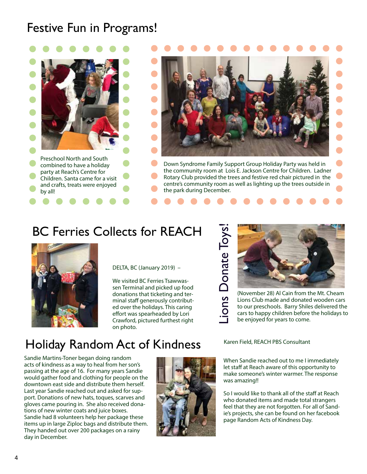#### Festive Fun in Programs!





Down Syndrome Family Support Group Holiday Party was held in the community room at Lois E. Jackson Centre for Children. Ladner Rotary Club provided the trees and festive red chair pictured in the centre's community room as well as lighting up the trees outside in the park during December.

#### BC Ferries Collects for REACH



DELTA, BC (January 2019) –

We visited BC Ferries Tsawwassen Terminal and picked up food donations that ticketing and terminal staff generously contributed over the holidays. This caring effort was spearheaded by Lori Crawford, pictured furthest right on photo.





Lions Club made and donated wooden cars to our preschools. Barry Shiles delivered the cars to happy children before the holidays to be enjoyed for years to come.

#### Holiday Random Act of Kindness

Sandie Martins-Toner began doing random acts of kindness as a way to heal from her son's passing at the age of 16. For many years Sandie would gather food and clothing for people on the downtown east side and distribute them herself. Last year Sandie reached out and asked for support. Donations of new hats, toques, scarves and gloves came pouring in. She also received donations of new winter coats and juice boxes. Sandie had 8 volunteers help her package these items up in large Ziploc bags and distribute them. They handed out over 200 packages on a rainy day in December.



When Sandie reached out to me I immediately let staff at Reach aware of this opportunity to make someone's winter warmer. The response was amazing!!

So I would like to thank all of the staff at Reach who donated items and made total strangers feel that they are not forgotten. For all of Sandie's projects, she can be found on her facebook page Random Acts of Kindness Day.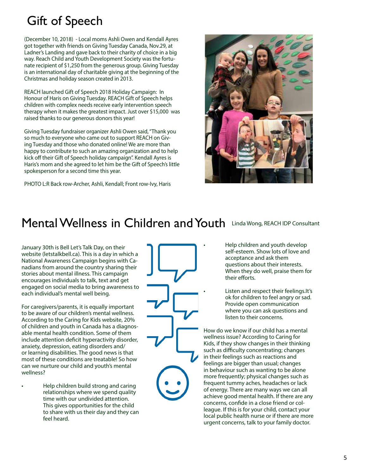## Gift of Speech

(December 10, 2018) - Local moms Ashli Owen and Kendall Ayres got together with friends on Giving Tuesday Canada, Nov.29, at Ladner's Landing and gave back to their charity of choice in a big way. Reach Child and Youth Development Society was the fortunate recipient of \$1,250 from the generous group. Giving Tuesday is an international day of charitable giving at the beginning of the Christmas and holiday season created in 2013.

REACH launched Gift of Speech 2018 Holiday Campaign: In Honour of Haris on Giving Tuesday. REACH Gift of Speech helps children with complex needs receive early intervention speech therapy when it makes the greatest impact. Just over \$15,000 was raised thanks to our generous donors this year!

Giving Tuesday fundraiser organizer Ashli Owen said, "Thank you so much to everyone who came out to support REACH on Giving Tuesday and those who donated online! We are more than happy to contribute to such an amazing organization and to help kick off their Gift of Speech holiday campaign". Kendall Ayres is Haris's mom and she agreed to let him be the Gift of Speech's little spokesperson for a second time this year.

PHOTO L:R Back row-Archer, Ashli, Kendall; Front row-Ivy, Haris



#### Mental Wellness in Children and Youth Linda Wong, REACH IDP Consultant

January 30th is Bell Let's Talk Day, on their website (letstalkbell.ca). This is a day in which a National Awareness Campaign begins with Canadians from around the country sharing their stories about mental illness. This campaign encourages individuals to talk, text and get engaged on social media to bring awareness to each individual's mental well being.

For caregivers/parents, it is equally important to be aware of our children's mental wellness. According to the Caring for Kids website, 20% of children and youth in Canada has a diagnosable mental health condition. Some of them include attention deficit hyperactivity disorder, anxiety, depression, eating disorders and/ or learning disabilities. The good news is that most of these conditions are treatable! So how can we nurture our child and youth's mental wellness?

• Help children build strong and caring relationships where we spend quality time with our undivided attention. This gives opportunities for the child to share with us their day and they can feel heard.

• Help children and youth develop self-esteem. Show lots of love and acceptance and ask them questions about their interests. When they do well, praise them for their efforts.

• Listen and respect their feelings.It's ok for children to feel angry or sad. Provide open communication where you can ask questions and listen to their concerns.

How do we know if our child has a mental wellness issue? According to Caring for Kids, if they show changes in their thinking such as difficulty concentrating; changes in their feelings such as reactions and feelings are bigger than usual; changes in behaviour such as wanting to be alone more frequently; physical changes such as frequent tummy aches, headaches or lack of energy. There are many ways we can all achieve good mental health. If there are any concerns, confide in a close friend or colleague. If this is for your child, contact your local public health nurse or if there are more urgent concerns, talk to your family doctor.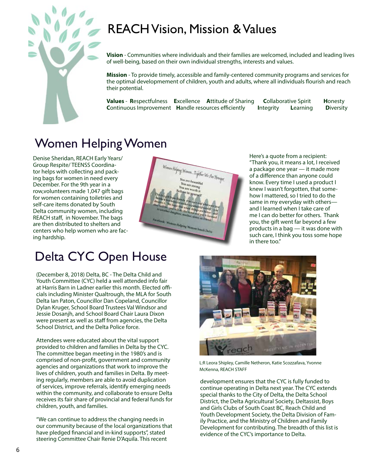## REACH Vision, Mission & Values



**Vision** - Communities where individuals and their families are welcomed, included and leading lives of well-being, based on their own individual strengths, interests and values.

**Mission** - To provide timely, accessible and family-centered community programs and services for the optimal developmement of children, youth and adults, where all individuals flourish and reach their potential.

**Values** - **R**espectfulness **E**xcellence **A**ttitude of Sharing **C**ollaborative Spirit **H**onesty **C**ontinuous Improvement **H**andle resources efficiently **I**ntegrity **L**earning **D**iversity

#### Women Helping Women

Denise Sheridan, REACH Early Years/ Group Respite/ TEENSS Coordinator helps with collecting and packing bags for women in need every December. For the 9th year in a row,volunteers made 1,047 gift bags for women containing toiletries and self-care items donated by South Delta community women, including REACH staff, in November. The bags are then distributed to shelters and centers who help women who are facing hardship.



Here's a quote from a recipient: "Thank you, it means a lot, I received a package one year — it made more of a difference than anyone could know. Every time I used a product I knew I wasn't forgotten, that somehow I mattered, so I tried to do the same in my everyday with others and I learned when I take care of me I can do better for others. Thank you, the gift went far beyond a few products in a bag — it was done with such care, I think you toss some hope in there too."

#### Delta CYC Open House

(December 8, 2018) Delta, BC - The Delta Child and Youth Committee (CYC) held a well attended info fair at Harris Barn in Ladner earlier this month. Elected officials including Minister Qualtrough, the MLA for South Delta Ian Paton, Councillor Dan Copeland, Councillor Dylan Kruger, School Board Trustees Val Windsor and Jessie Dosanjh, and School Board Chair Laura Dixon were present as well as staff from agencies, the Delta School District, and the Delta Police force.

Attendees were educated about the vital support provided to children and families in Delta by the CYC. The committee began meeting in the 1980's and is comprised of non-profit, government and community agencies and organizations that work to improve the lives of children, youth and families in Delta. By meeting regularly, members are able to avoid duplication of services, improve referrals, identify emerging needs within the community, and collaborate to ensure Delta receives its fair share of provincial and federal funds for children, youth, and families.

"We can continue to address the changing needs in our community because of the local organizations that have pledged financial and in-kind supports", stated steering Committee Chair Renie D'Aquila. This recent



L:R Leora Shipley, Camille Netheron, Katie Scozzafava, Yvonne McKenna, REACH STAFF

development ensures that the CYC is fully funded to continue operating in Delta next year. The CYC extends special thanks to the City of Delta, the Delta School District, the Delta Agricultural Society, Deltassist, Boys and Girls Clubs of South Coast BC, Reach Child and Youth Development Society, the Delta Division of Family Practice, and the Ministry of Children and Family Development for contributing. The breadth of this list is evidence of the CYC's importance to Delta.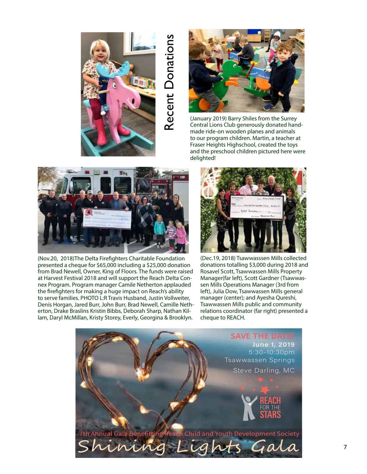

# Recent Donations Recent Donations



(January 2019) Barry Shiles from the Surrey Central Lions Club generously donated handmade ride-on wooden planes and animals to our program children. Martin, a teacher at Fraser Heights Highschool, created the toys and the preschool children pictured here were delighted!



(Nov.20, 2018)The Delta Firefighters Charitable Foundation presented a cheque for \$65,000 including a \$25,000 donation from Brad Newell, Owner, King of Floors. The funds were raised at Harvest Festival 2018 and will support the Reach Delta Connex Program. Program manager Camile Netherton applauded the firefighters for making a huge impact on Reach's ability to serve families. PHOTO L:R Travis Husband, Justin Vollweiter, Denis Horgan, Jared Burr, John Burr, Brad Newell, Camille Netherton, Drake Braslins Kristin Bibbs, Deborah Sharp, Nathan Killam, Daryl McMillan, Kristy Storey, Everly, Georgina & Brooklyn.



(Dec.19, 2018) Tsawwasssen Mills collected donations totalling \$3,000 during 2018 and Rosavel Scott, Tsawwassen Mills Property Manager(far left), Scott Gardner (Tsawwassen Mills Operations Manager (3rd from left), Julia Dow, Tsawwassen Mills general manager (center); and Ayesha Qureshi, Tsawwassen Mills public and community relations coordinator (far right) presented a cheque to REACH.